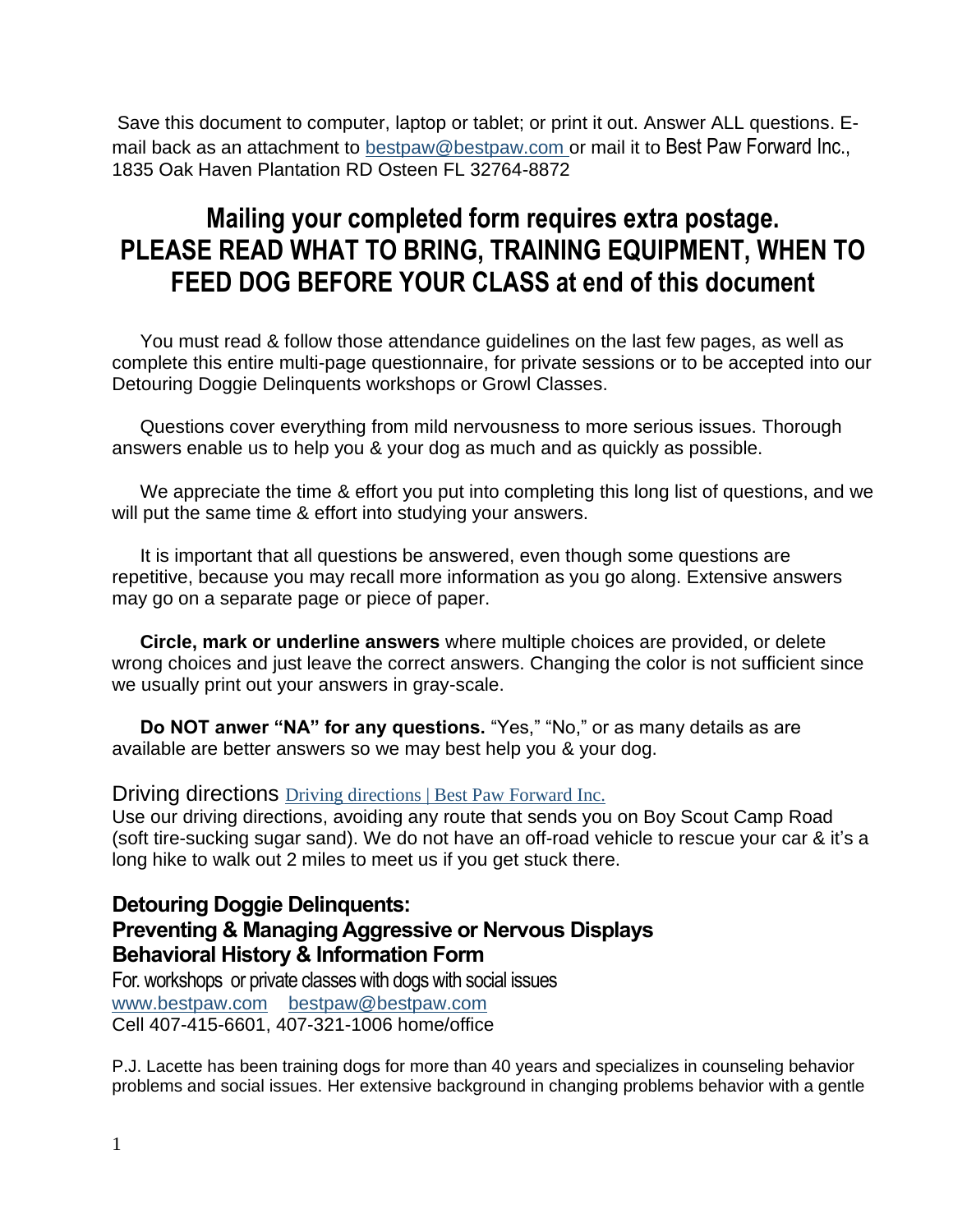Save this document to computer, laptop or tablet; or print it out. Answer ALL questions. Email back as an attachment to [bestpaw@bestpaw.com](mailto:bestpaw@bestpaw.com) or mail it to Best Paw Forward Inc., 1835 Oak Haven Plantation RD Osteen FL 32764-8872

# **Mailing your completed form requires extra postage. PLEASE READ WHAT TO BRING, TRAINING EQUIPMENT, WHEN TO FEED DOG BEFORE YOUR CLASS at end of this document**

You must read & follow those attendance guidelines on the last few pages, as well as complete this entire multi-page questionnaire, for private sessions or to be accepted into our Detouring Doggie Delinquents workshops or Growl Classes.

Questions cover everything from mild nervousness to more serious issues. Thorough answers enable us to help you & your dog as much and as quickly as possible.

We appreciate the time & effort you put into completing this long list of questions, and we will put the same time & effort into studying your answers.

It is important that all questions be answered, even though some questions are repetitive, because you may recall more information as you go along. Extensive answers may go on a separate page or piece of paper.

**Circle, mark or underline answers** where multiple choices are provided, or delete wrong choices and just leave the correct answers. Changing the color is not sufficient since we usually print out your answers in gray-scale.

**Do NOT anwer "NA" for any questions.** "Yes," "No," or as many details as are available are better answers so we may best help you & your dog.

#### Driving directions [Driving directions | Best Paw Forward Inc.](https://bestpaw.com/driving-directions)

Use our driving directions, avoiding any route that sends you on Boy Scout Camp Road (soft tire-sucking sugar sand). We do not have an off-road vehicle to rescue your car & it's a long hike to walk out 2 miles to meet us if you get stuck there.

#### **Detouring Doggie Delinquents: Preventing & Managing Aggressive or Nervous Displays Behavioral History & Information Form**

For. workshops or private classes with dogs with social issues [www.bestpaw.com](http://www.bestpaw.com/) [bestpaw@bestpaw.com](mailto:bestpaw@bestpaw.com) Cell 407-415-6601, 407-321-1006 home/office

P.J. Lacette has been training dogs for more than 40 years and specializes in counseling behavior problems and social issues. Her extensive background in changing problems behavior with a gentle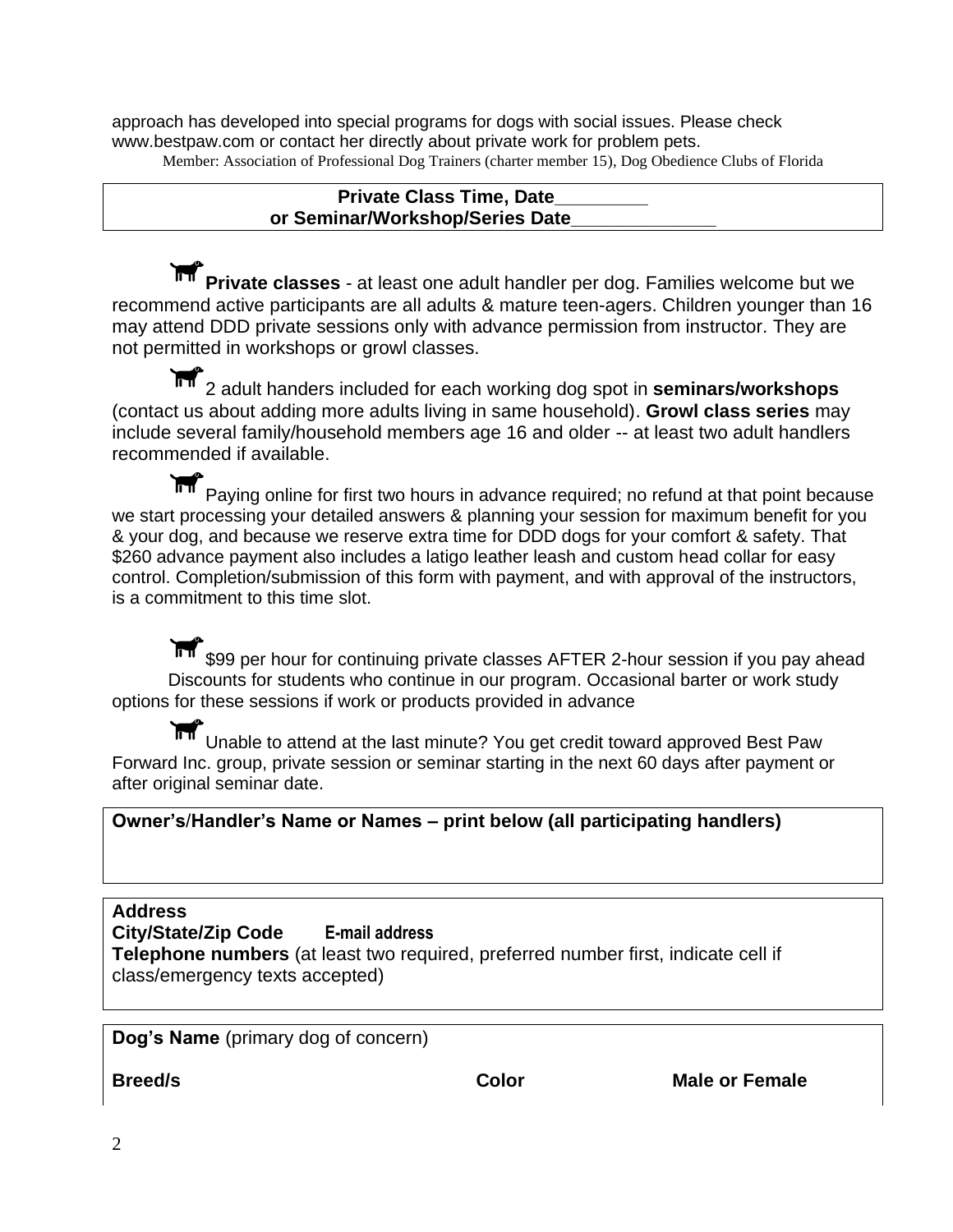approach has developed into special programs for dogs with social issues. Please check www.bestpaw.com or contact her directly about private work for problem pets. Member: Association of Professional Dog Trainers (charter member 15), Dog Obedience Clubs of Florida

#### **Private Class Time, Date\_\_\_\_\_\_\_\_\_ or Seminar/Workshop/Series Date\_\_\_\_\_\_\_\_\_\_\_\_\_\_**

**Private classes** - at least one adult handler per dog. Families welcome but we recommend active participants are all adults & mature teen-agers. Children younger than 16 may attend DDD private sessions only with advance permission from instructor. They are not permitted in workshops or growl classes.

2 adult handers included for each working dog spot in **seminars/workshops** (contact us about adding more adults living in same household). **Growl class series** may include several family/household members age 16 and older -- at least two adult handlers recommended if available.

Paying online for first two hours in advance required; no refund at that point because we start processing your detailed answers & planning your session for maximum benefit for you & your dog, and because we reserve extra time for DDD dogs for your comfort & safety. That \$260 advance payment also includes a latigo leather leash and custom head collar for easy control. Completion/submission of this form with payment, and with approval of the instructors, is a commitment to this time slot.

\$99 per hour for continuing private classes AFTER 2-hour session if you pay ahead Discounts for students who continue in our program. Occasional barter or work study options for these sessions if work or products provided in advance

**IFT** Unable to attend at the last minute? You get credit toward approved Best Paw Forward Inc. group, private session or seminar starting in the next 60 days after payment or after original seminar date.

#### **Owner's**/**Handler's Name or Names – print below (all participating handlers)**

**Address City/State/Zip Code E-mail address**

**Telephone numbers** (at least two required, preferred number first, indicate cell if class/emergency texts accepted)

**Dog's Name** (primary dog of concern)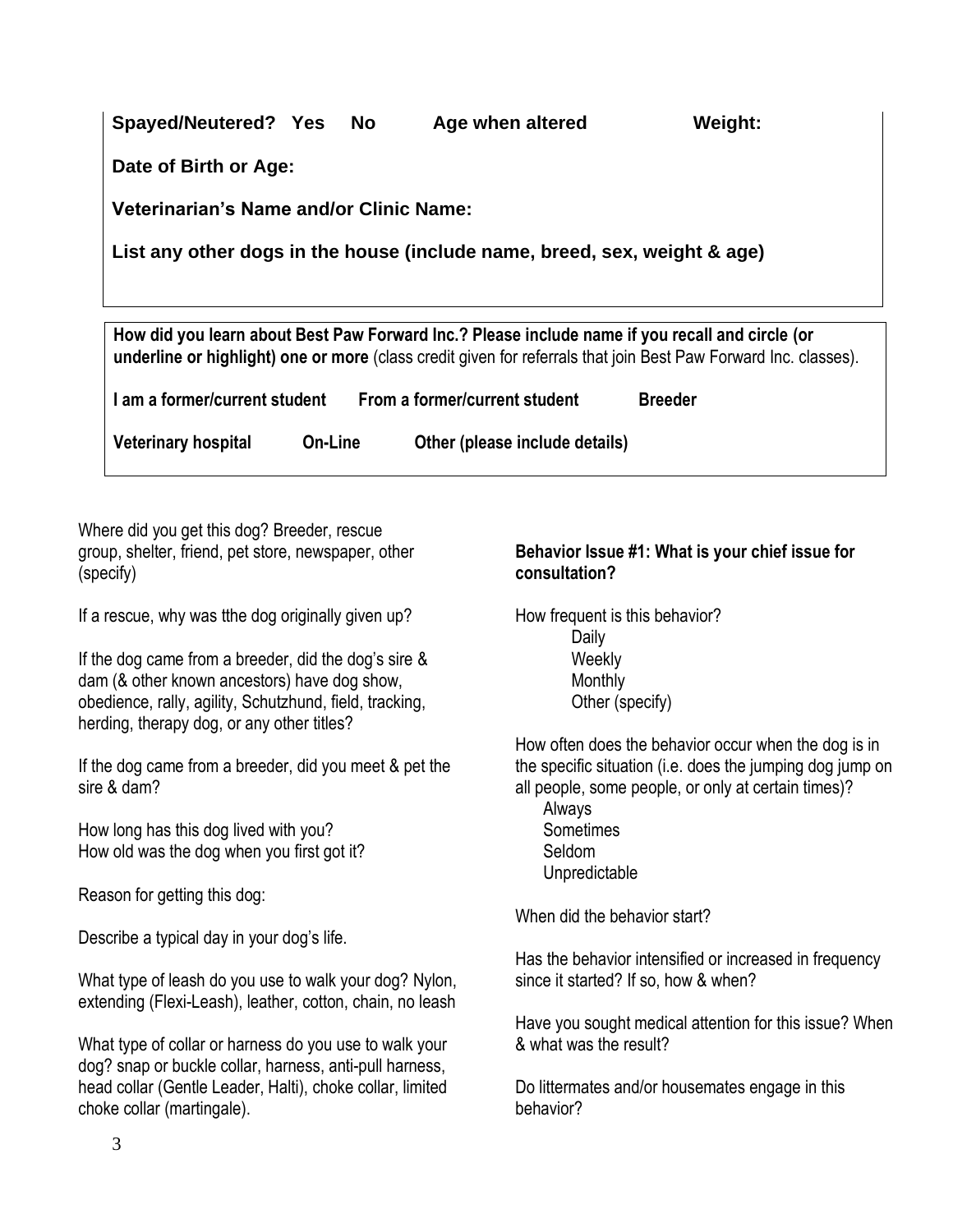| Veterinarian's Name and/or Clinic Name: |         |                                                                                                 |                                                                                                                 |
|-----------------------------------------|---------|-------------------------------------------------------------------------------------------------|-----------------------------------------------------------------------------------------------------------------|
|                                         |         | List any other dogs in the house (include name, breed, sex, weight & age)                       |                                                                                                                 |
|                                         |         |                                                                                                 |                                                                                                                 |
|                                         |         |                                                                                                 |                                                                                                                 |
|                                         |         | How did you learn about Best Paw Forward Inc.? Please include name if you recall and circle (or |                                                                                                                 |
|                                         |         |                                                                                                 | underline or highlight) one or more (class credit given for referrals that join Best Paw Forward Inc. classes). |
|                                         |         |                                                                                                 |                                                                                                                 |
|                                         |         | I am a former/current student From a former/current student                                     | <b>Breeder</b>                                                                                                  |
| <b>Veterinary hospital</b>              | On-Line | Other (please include details)                                                                  |                                                                                                                 |

group, shelter, friend, pet store, newspaper, other (specify)

If a rescue, why was tthe dog originally given up?

If the dog came from a breeder, did the dog's sire & dam (& other known ancestors) have dog show, obedience, rally, agility, Schutzhund, field, tracking, herding, therapy dog, or any other titles?

If the dog came from a breeder, did you meet & pet the sire & dam?

How long has this dog lived with you? How old was the dog when you first got it?

Reason for getting this dog:

Describe a typical day in your dog's life.

What type of leash do you use to walk your dog? Nylon, extending (Flexi-Leash), leather, cotton, chain, no leash

What type of collar or harness do you use to walk your dog? snap or buckle collar, harness, anti-pull harness, head collar (Gentle Leader, Halti), choke collar, limited choke collar (martingale).

#### **Behavior Issue #1: What is your chief issue for consultation?**

How frequent is this behavior? Daily **Weekly** Monthly Other (specify)

How often does the behavior occur when the dog is in the specific situation (i.e. does the jumping dog jump on all people, some people, or only at certain times)?

Always Sometimes Seldom Unpredictable

When did the behavior start?

Has the behavior intensified or increased in frequency since it started? If so, how & when?

Have you sought medical attention for this issue? When & what was the result?

Do littermates and/or housemates engage in this behavior?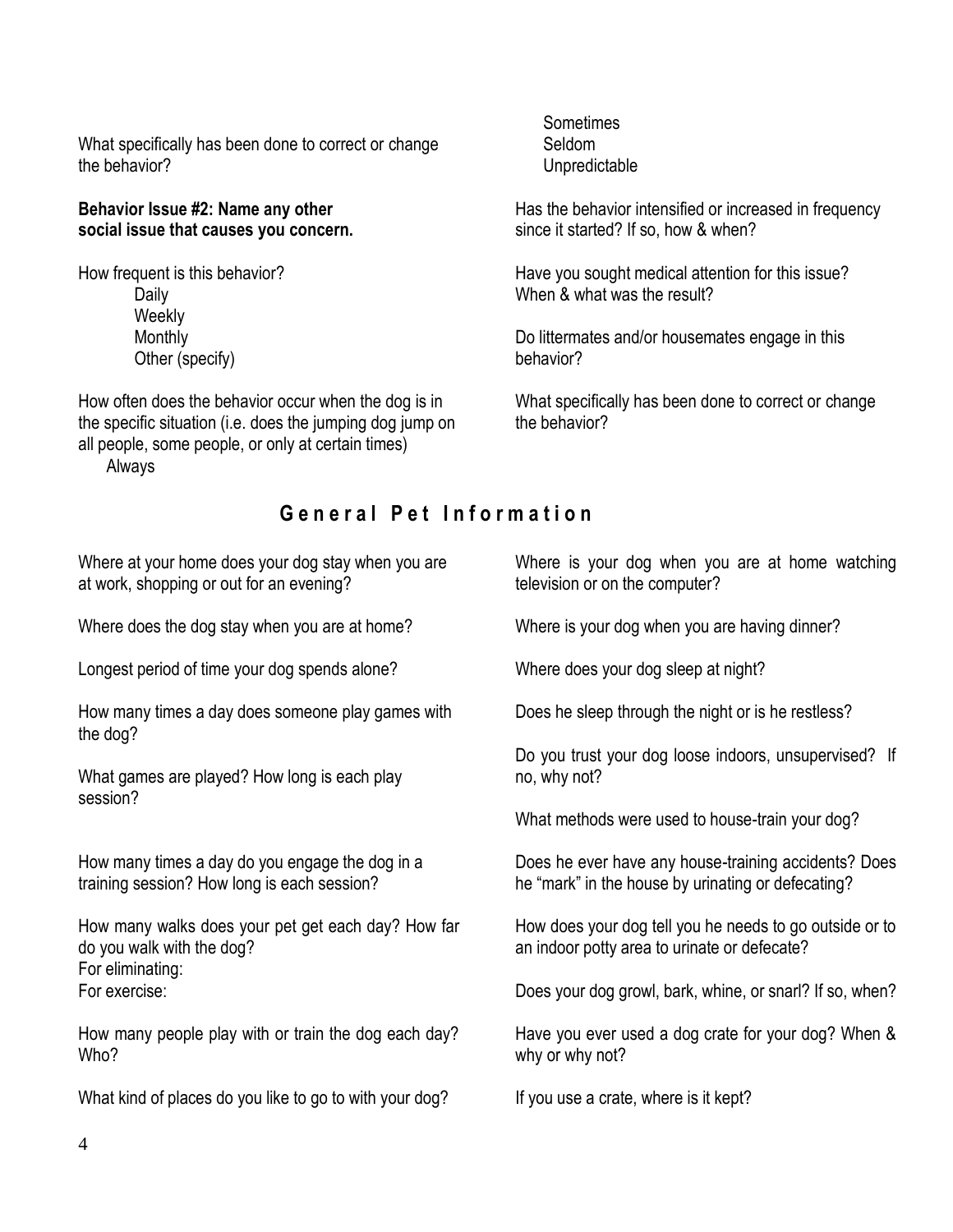What specifically has been done to correct or change the behavior?

#### **Behavior Issue #2: Name any other social issue that causes you concern.**

How frequent is this behavior? Daily **Weekly** Monthly Other (specify)

How often does the behavior occur when the dog is in the specific situation (i.e. does the jumping dog jump on all people, some people, or only at certain times) Always

Sometimes Seldom Unpredictable

Has the behavior intensified or increased in frequency since it started? If so, how & when?

Have you sought medical attention for this issue? When & what was the result?

Do littermates and/or housemates engage in this behavior?

What specifically has been done to correct or change the behavior?

### **G e n e r a l P e t I n f o r m a t i o n**

Where at your home does your dog stay when you are at work, shopping or out for an evening?

Where does the dog stay when you are at home?

Longest period of time your dog spends alone?

How many times a day does someone play games with the dog?

What games are played? How long is each play session?

How many times a day do you engage the dog in a training session? How long is each session?

How many walks does your pet get each day? How far do you walk with the dog? For eliminating: For exercise:

How many people play with or train the dog each day? Who?

What kind of places do you like to go to with your dog?

Where is your dog when you are at home watching television or on the computer?

Where is your dog when you are having dinner?

Where does your dog sleep at night?

Does he sleep through the night or is he restless?

Do you trust your dog loose indoors, unsupervised? If no, why not?

What methods were used to house-train your dog?

Does he ever have any house-training accidents? Does he "mark" in the house by urinating or defecating?

How does your dog tell you he needs to go outside or to an indoor potty area to urinate or defecate?

Does your dog growl, bark, whine, or snarl? If so, when?

Have you ever used a dog crate for your dog? When & why or why not?

If you use a crate, where is it kept?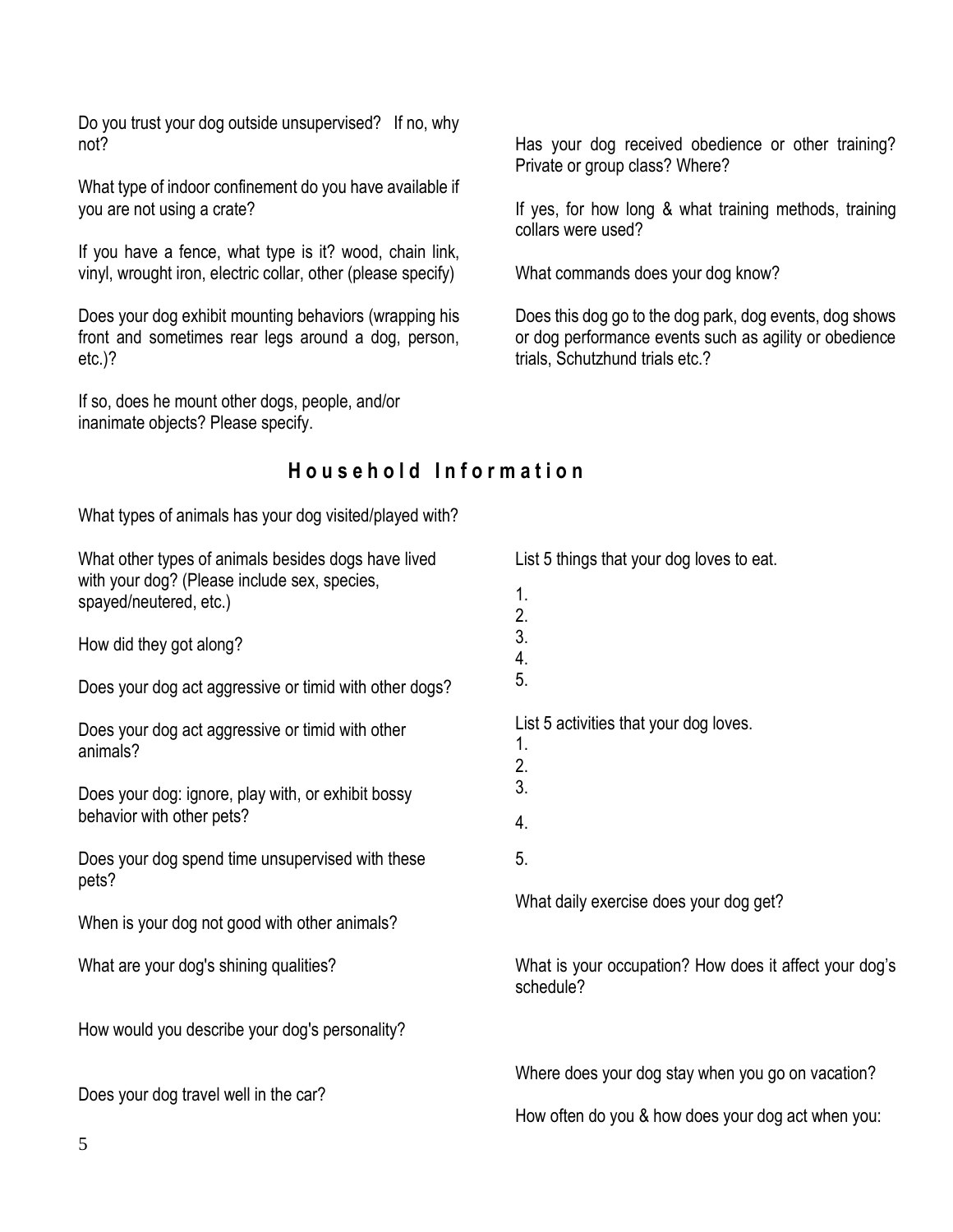Do you trust your dog outside unsupervised? If no, why not?

What type of indoor confinement do you have available if you are not using a crate?

If you have a fence, what type is it? wood, chain link, vinyl, wrought iron, electric collar, other (please specify)

Does your dog exhibit mounting behaviors (wrapping his front and sometimes rear legs around a dog, person, etc.)?

If so, does he mount other dogs, people, and/or inanimate objects? Please specify.

Has your dog received obedience or other training? Private or group class? Where?

If yes, for how long & what training methods, training collars were used?

What commands does your dog know?

Does this dog go to the dog park, dog events, dog shows or dog performance events such as agility or obedience trials, Schutzhund trials etc.?

## **H o u s e h o l d I n f o r m a t i o n**

What types of animals has your dog visited/played with?

| What other types of animals besides dogs have lived                    | List 5 things that your dog loves to eat.                           |  |  |
|------------------------------------------------------------------------|---------------------------------------------------------------------|--|--|
| with your dog? (Please include sex, species,<br>spayed/neutered, etc.) | 1.                                                                  |  |  |
|                                                                        | 2.                                                                  |  |  |
| How did they got along?                                                | 3.                                                                  |  |  |
| Does your dog act aggressive or timid with other dogs?                 | 4.<br>5.                                                            |  |  |
| Does your dog act aggressive or timid with other                       | List 5 activities that your dog loves.                              |  |  |
| animals?                                                               | 1.                                                                  |  |  |
|                                                                        | 2.<br>3.                                                            |  |  |
| Does your dog: ignore, play with, or exhibit bossy                     |                                                                     |  |  |
| behavior with other pets?                                              | 4.                                                                  |  |  |
| Does your dog spend time unsupervised with these<br>pets?              | 5.                                                                  |  |  |
|                                                                        | What daily exercise does your dog get?                              |  |  |
| When is your dog not good with other animals?                          |                                                                     |  |  |
| What are your dog's shining qualities?                                 | What is your occupation? How does it affect your dog's<br>schedule? |  |  |
| How would you describe your dog's personality?                         |                                                                     |  |  |
|                                                                        | Where does your dog stay when you go on vacation?                   |  |  |
| Does your dog travel well in the car?                                  | How often do you & how does your dog act when you:                  |  |  |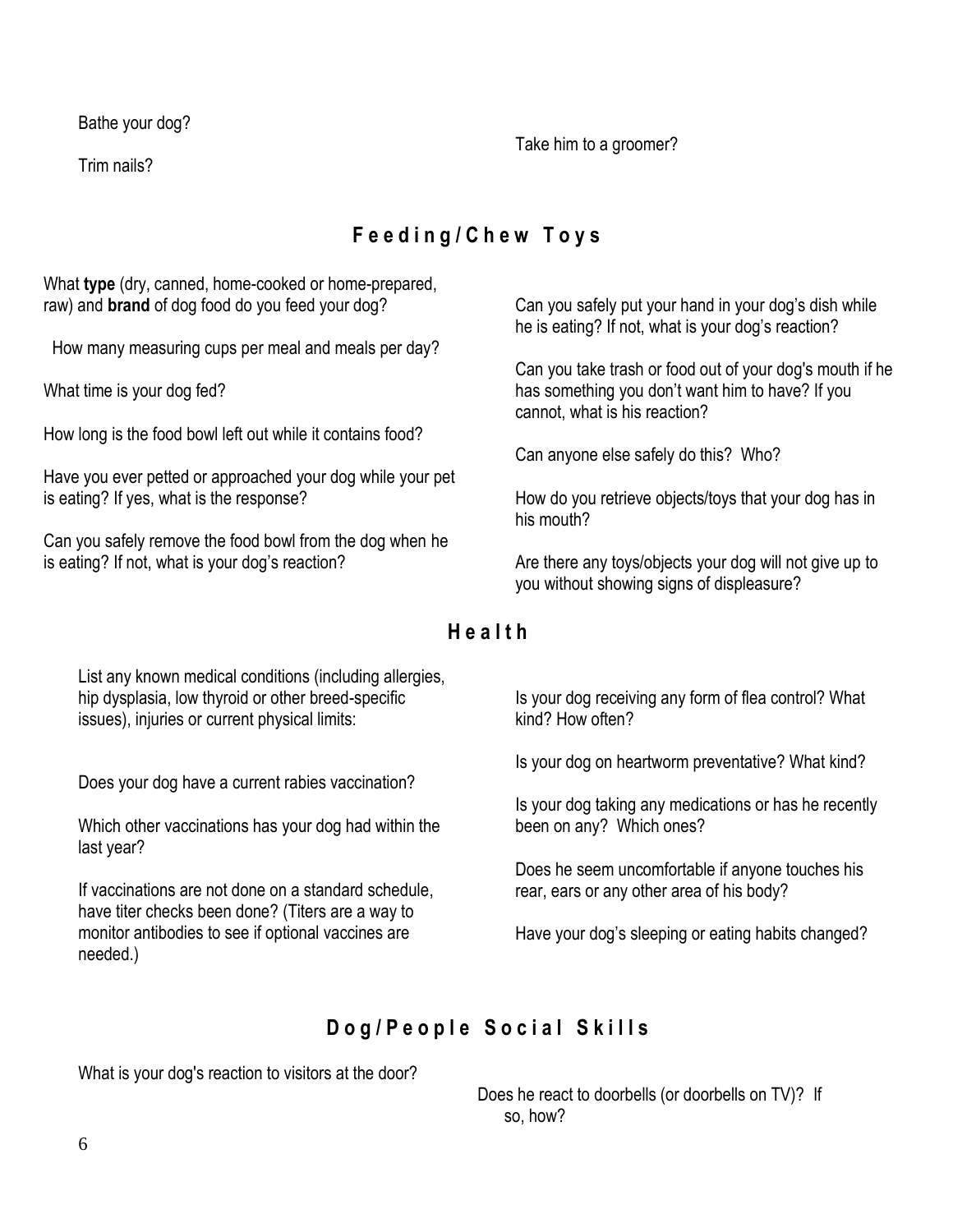Bathe your dog?

Trim nails?

Take him to a groomer?

# **F e e d i n g / C h e w T o y s**

What **type** (dry, canned, home-cooked or home-prepared, raw) and **brand** of dog food do you feed your dog?

How many measuring cups per meal and meals per day?

What time is your dog fed?

How long is the food bowl left out while it contains food?

Have you ever petted or approached your dog while your pet is eating? If yes, what is the response?

Can you safely remove the food bowl from the dog when he is eating? If not, what is your dog's reaction?

Can you safely put your hand in your dog's dish while he is eating? If not, what is your dog's reaction?

Can you take trash or food out of your dog's mouth if he has something you don't want him to have? If you cannot, what is his reaction?

Can anyone else safely do this? Who?

How do you retrieve objects/toys that your dog has in his mouth?

Are there any toys/objects your dog will not give up to you without showing signs of displeasure?

### **H e a l t h**

List any known medical conditions (including allergies, hip dysplasia, low thyroid or other breed-specific issues), injuries or current physical limits:

Does your dog have a current rabies vaccination?

Which other vaccinations has your dog had within the last year?

If vaccinations are not done on a standard schedule, have titer checks been done? (Titers are a way to monitor antibodies to see if optional vaccines are needed.)

Is your dog receiving any form of flea control? What kind? How often?

Is your dog on heartworm preventative? What kind?

Is your dog taking any medications or has he recently been on any? Which ones?

Does he seem uncomfortable if anyone touches his rear, ears or any other area of his body?

Have your dog's sleeping or eating habits changed?

# Dog/People Social Skills

What is your dog's reaction to visitors at the door?

 Does he react to doorbells (or doorbells on TV)? If so, how?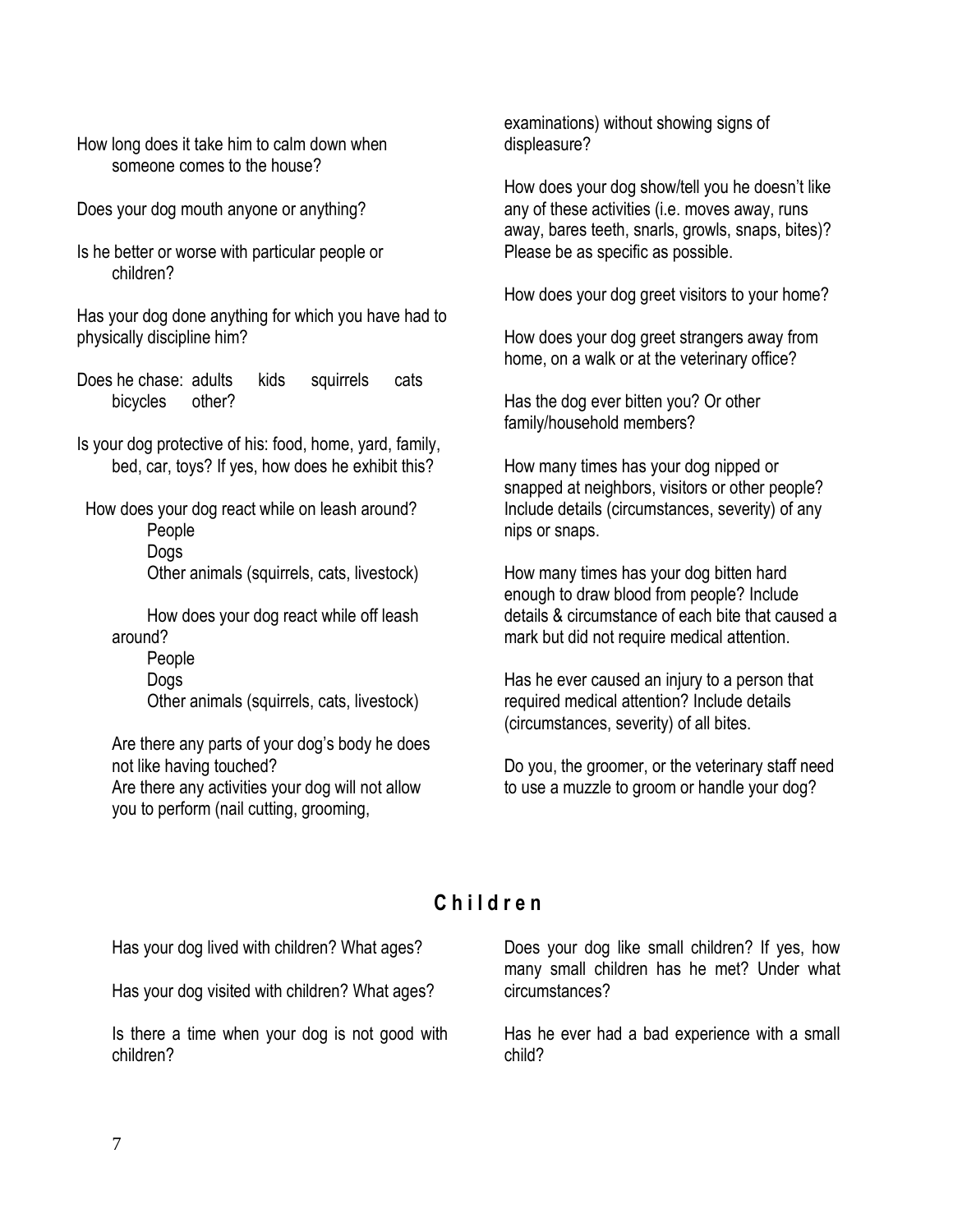How long does it take him to calm down when someone comes to the house?

Does your dog mouth anyone or anything?

Is he better or worse with particular people or children?

Has your dog done anything for which you have had to physically discipline him?

Does he chase: adults kids squirrels cats bicycles other?

Is your dog protective of his: food, home, yard, family, bed, car, toys? If yes, how does he exhibit this?

How does your dog react while on leash around?

People Dogs

Other animals (squirrels, cats, livestock)

How does your dog react while off leash around?

People Dogs

Other animals (squirrels, cats, livestock)

Are there any parts of your dog's body he does not like having touched? Are there any activities your dog will not allow

you to perform (nail cutting, grooming,

examinations) without showing signs of displeasure?

How does your dog show/tell you he doesn't like any of these activities (i.e. moves away, runs away, bares teeth, snarls, growls, snaps, bites)? Please be as specific as possible.

How does your dog greet visitors to your home?

How does your dog greet strangers away from home, on a walk or at the veterinary office?

Has the dog ever bitten you? Or other family/household members?

How many times has your dog nipped or snapped at neighbors, visitors or other people? Include details (circumstances, severity) of any nips or snaps.

How many times has your dog bitten hard enough to draw blood from people? Include details & circumstance of each bite that caused a mark but did not require medical attention.

Has he ever caused an injury to a person that required medical attention? Include details (circumstances, severity) of all bites.

Do you, the groomer, or the veterinary staff need to use a muzzle to groom or handle your dog?

# **C h i l d r e n**

Has your dog lived with children? What ages?

Has your dog visited with children? What ages?

Is there a time when your dog is not good with children?

Does your dog like small children? If yes, how many small children has he met? Under what circumstances?

Has he ever had a bad experience with a small child?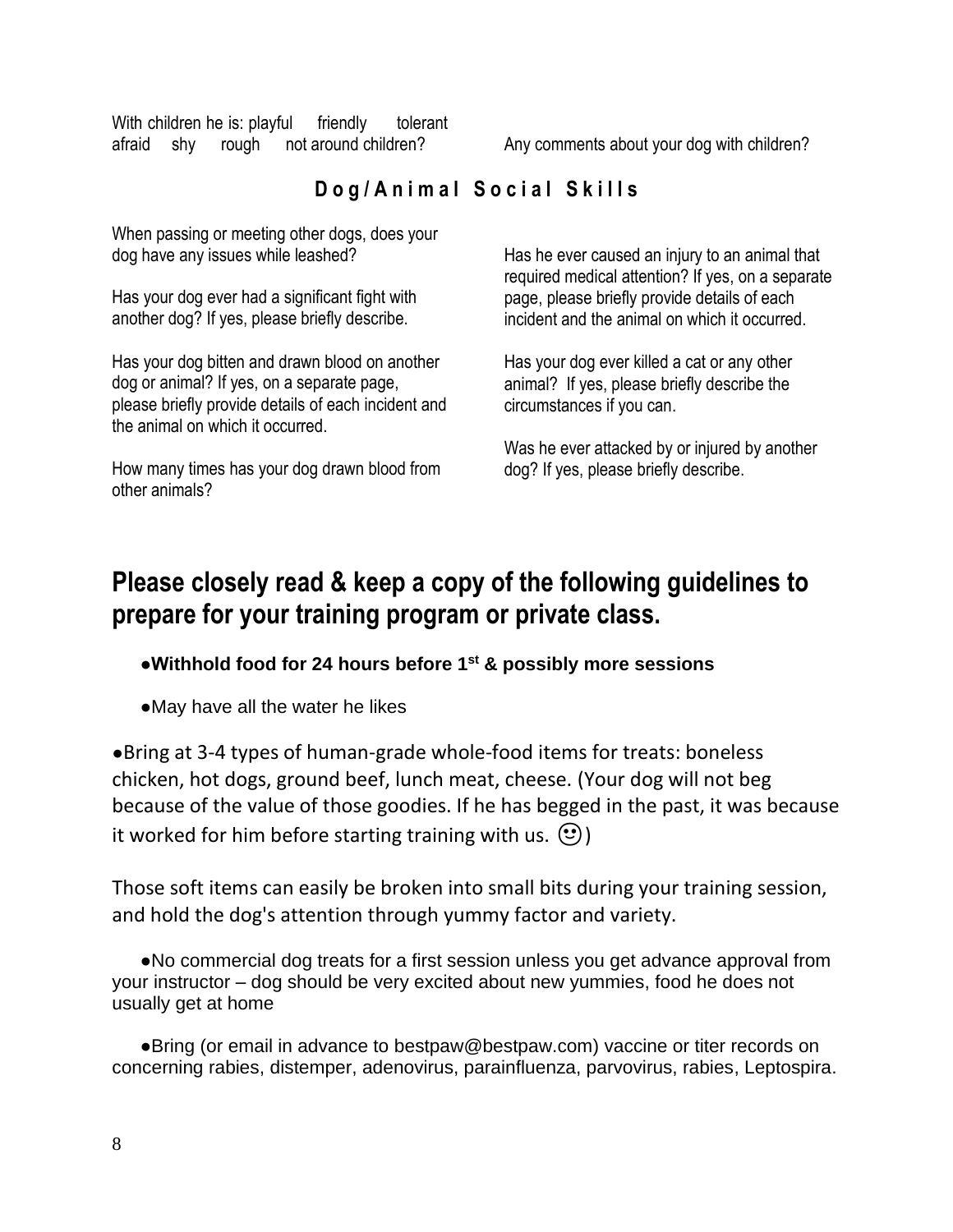With children he is: playful friendly tolerant afraid shy rough not around children? Any comments about your dog with children?

# Dog/Animal Social Skills

When passing or meeting other dogs, does your dog have any issues while leashed?

Has your dog ever had a significant fight with another dog? If yes, please briefly describe.

Has your dog bitten and drawn blood on another dog or animal? If yes, on a separate page, please briefly provide details of each incident and the animal on which it occurred.

How many times has your dog drawn blood from other animals?

Has he ever caused an injury to an animal that required medical attention? If yes, on a separate page, please briefly provide details of each incident and the animal on which it occurred.

Has your dog ever killed a cat or any other animal? If yes, please briefly describe the circumstances if you can.

Was he ever attacked by or injured by another dog? If yes, please briefly describe.

# **Please closely read & keep a copy of the following guidelines to prepare for your training program or private class.**

### **●Withhold food for 24 hours before 1 st & possibly more sessions**

●May have all the water he likes

●Bring at 3-4 types of human-grade whole-food items for treats: boneless chicken, hot dogs, ground beef, lunch meat, cheese. (Your dog will not beg because of the value of those goodies. If he has begged in the past, it was because it worked for him before starting training with us.  $\circled{e}$ )

Those soft items can easily be broken into small bits during your training session, and hold the dog's attention through yummy factor and variety.

●No commercial dog treats for a first session unless you get advance approval from your instructor – dog should be very excited about new yummies, food he does not usually get at home

●Bring (or email in advance to bestpaw@bestpaw.com) vaccine or titer records on concerning rabies, distemper, adenovirus, parainfluenza, parvovirus, rabies, Leptospira.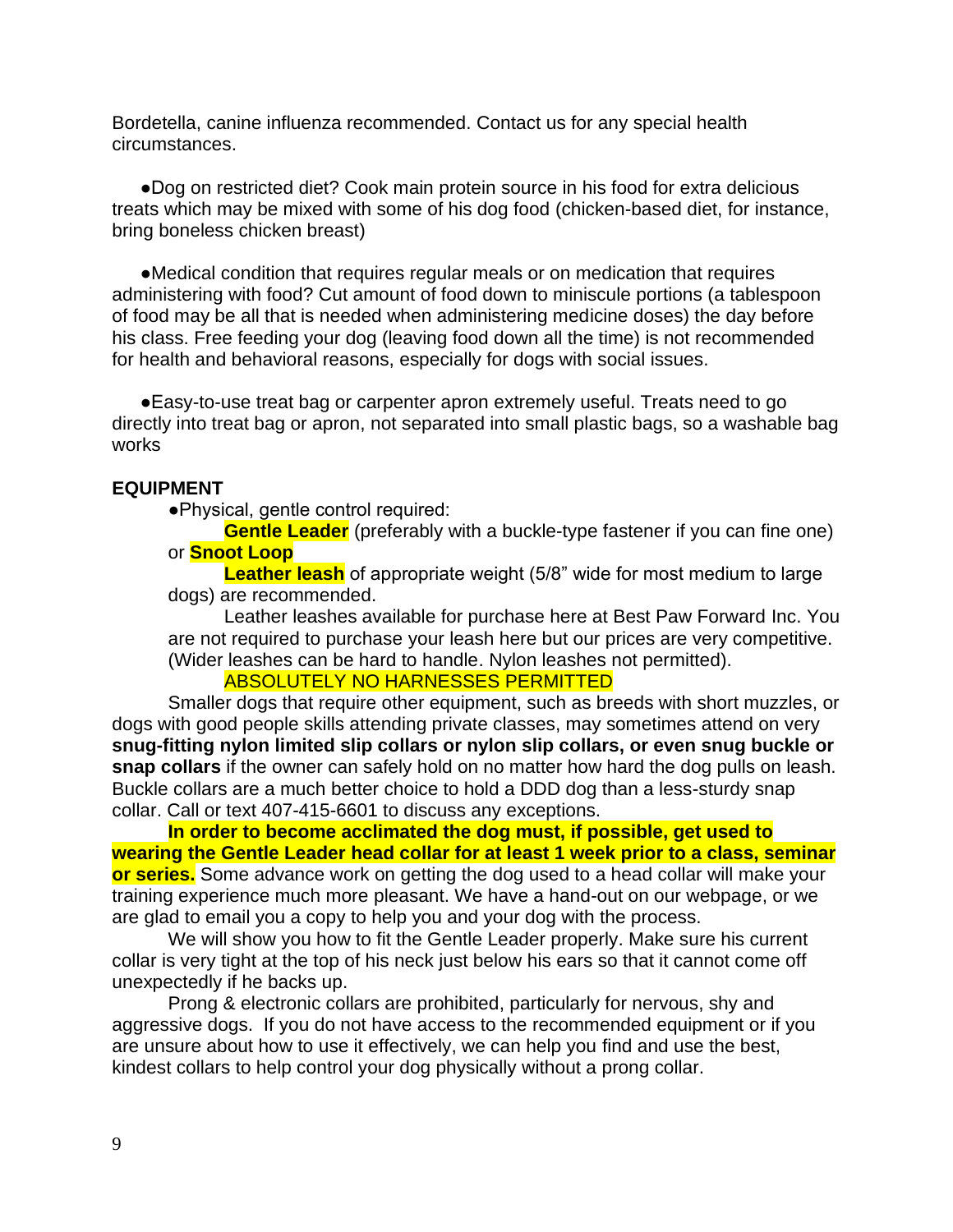Bordetella, canine influenza recommended. Contact us for any special health circumstances.

●Dog on restricted diet? Cook main protein source in his food for extra delicious treats which may be mixed with some of his dog food (chicken-based diet, for instance, bring boneless chicken breast)

●Medical condition that requires regular meals or on medication that requires administering with food? Cut amount of food down to miniscule portions (a tablespoon of food may be all that is needed when administering medicine doses) the day before his class. Free feeding your dog (leaving food down all the time) is not recommended for health and behavioral reasons, especially for dogs with social issues.

●Easy-to-use treat bag or carpenter apron extremely useful. Treats need to go directly into treat bag or apron, not separated into small plastic bags, so a washable bag works

#### **EQUIPMENT**

●Physical, gentle control required:

**Gentle Leader** (preferably with a buckle-type fastener if you can fine one) or **Snoot Loop**

**Leather leash** of appropriate weight (5/8" wide for most medium to large dogs) are recommended.

Leather leashes available for purchase here at Best Paw Forward Inc. You are not required to purchase your leash here but our prices are very competitive. (Wider leashes can be hard to handle. Nylon leashes not permitted).

#### ABSOLUTELY NO HARNESSES PERMITTED

Smaller dogs that require other equipment, such as breeds with short muzzles, or dogs with good people skills attending private classes, may sometimes attend on very **snug-fitting nylon limited slip collars or nylon slip collars, or even snug buckle or snap collars** if the owner can safely hold on no matter how hard the dog pulls on leash. Buckle collars are a much better choice to hold a DDD dog than a less-sturdy snap collar. Call or text 407-415-6601 to discuss any exceptions.

**In order to become acclimated the dog must, if possible, get used to wearing the Gentle Leader head collar for at least 1 week prior to a class, seminar or series.** Some advance work on getting the dog used to a head collar will make your training experience much more pleasant. We have a hand-out on our webpage, or we are glad to email you a copy to help you and your dog with the process.

We will show you how to fit the Gentle Leader properly. Make sure his current collar is very tight at the top of his neck just below his ears so that it cannot come off unexpectedly if he backs up.

Prong & electronic collars are prohibited, particularly for nervous, shy and aggressive dogs. If you do not have access to the recommended equipment or if you are unsure about how to use it effectively, we can help you find and use the best, kindest collars to help control your dog physically without a prong collar.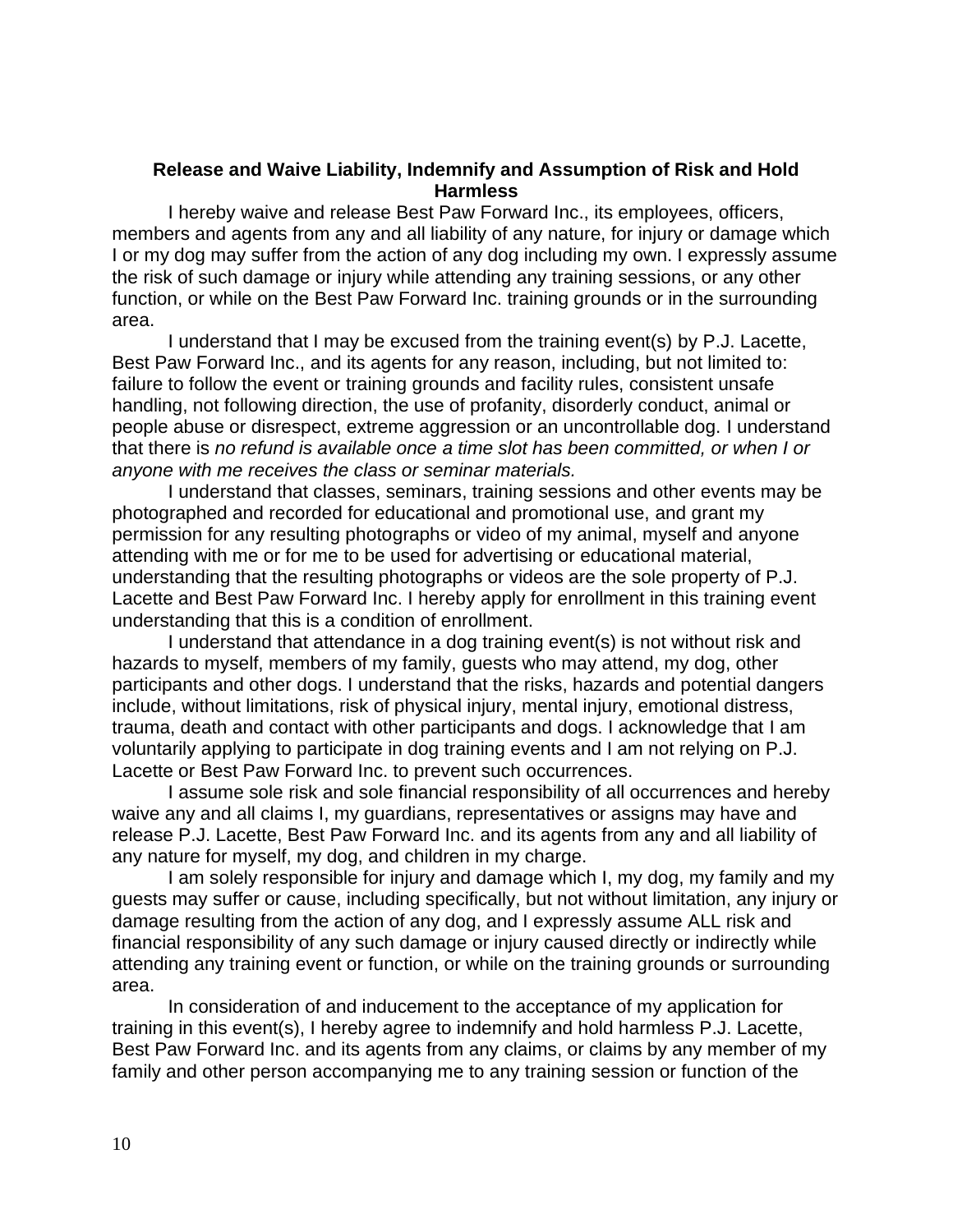#### **Release and Waive Liability, Indemnify and Assumption of Risk and Hold Harmless**

I hereby waive and release Best Paw Forward Inc., its employees, officers, members and agents from any and all liability of any nature, for injury or damage which I or my dog may suffer from the action of any dog including my own. I expressly assume the risk of such damage or injury while attending any training sessions, or any other function, or while on the Best Paw Forward Inc. training grounds or in the surrounding area.

I understand that I may be excused from the training event(s) by P.J. Lacette, Best Paw Forward Inc., and its agents for any reason, including, but not limited to: failure to follow the event or training grounds and facility rules, consistent unsafe handling, not following direction, the use of profanity, disorderly conduct, animal or people abuse or disrespect, extreme aggression or an uncontrollable dog. I understand that there is *no refund is available once a time slot has been committed, or when I or anyone with me receives the class or seminar materials.*

I understand that classes, seminars, training sessions and other events may be photographed and recorded for educational and promotional use, and grant my permission for any resulting photographs or video of my animal, myself and anyone attending with me or for me to be used for advertising or educational material, understanding that the resulting photographs or videos are the sole property of P.J. Lacette and Best Paw Forward Inc. I hereby apply for enrollment in this training event understanding that this is a condition of enrollment.

I understand that attendance in a dog training event(s) is not without risk and hazards to myself, members of my family, guests who may attend, my dog, other participants and other dogs. I understand that the risks, hazards and potential dangers include, without limitations, risk of physical injury, mental injury, emotional distress, trauma, death and contact with other participants and dogs. I acknowledge that I am voluntarily applying to participate in dog training events and I am not relying on P.J. Lacette or Best Paw Forward Inc. to prevent such occurrences.

I assume sole risk and sole financial responsibility of all occurrences and hereby waive any and all claims I, my guardians, representatives or assigns may have and release P.J. Lacette, Best Paw Forward Inc. and its agents from any and all liability of any nature for myself, my dog, and children in my charge.

I am solely responsible for injury and damage which I, my dog, my family and my guests may suffer or cause, including specifically, but not without limitation, any injury or damage resulting from the action of any dog, and I expressly assume ALL risk and financial responsibility of any such damage or injury caused directly or indirectly while attending any training event or function, or while on the training grounds or surrounding area.

In consideration of and inducement to the acceptance of my application for training in this event(s), I hereby agree to indemnify and hold harmless P.J. Lacette, Best Paw Forward Inc. and its agents from any claims, or claims by any member of my family and other person accompanying me to any training session or function of the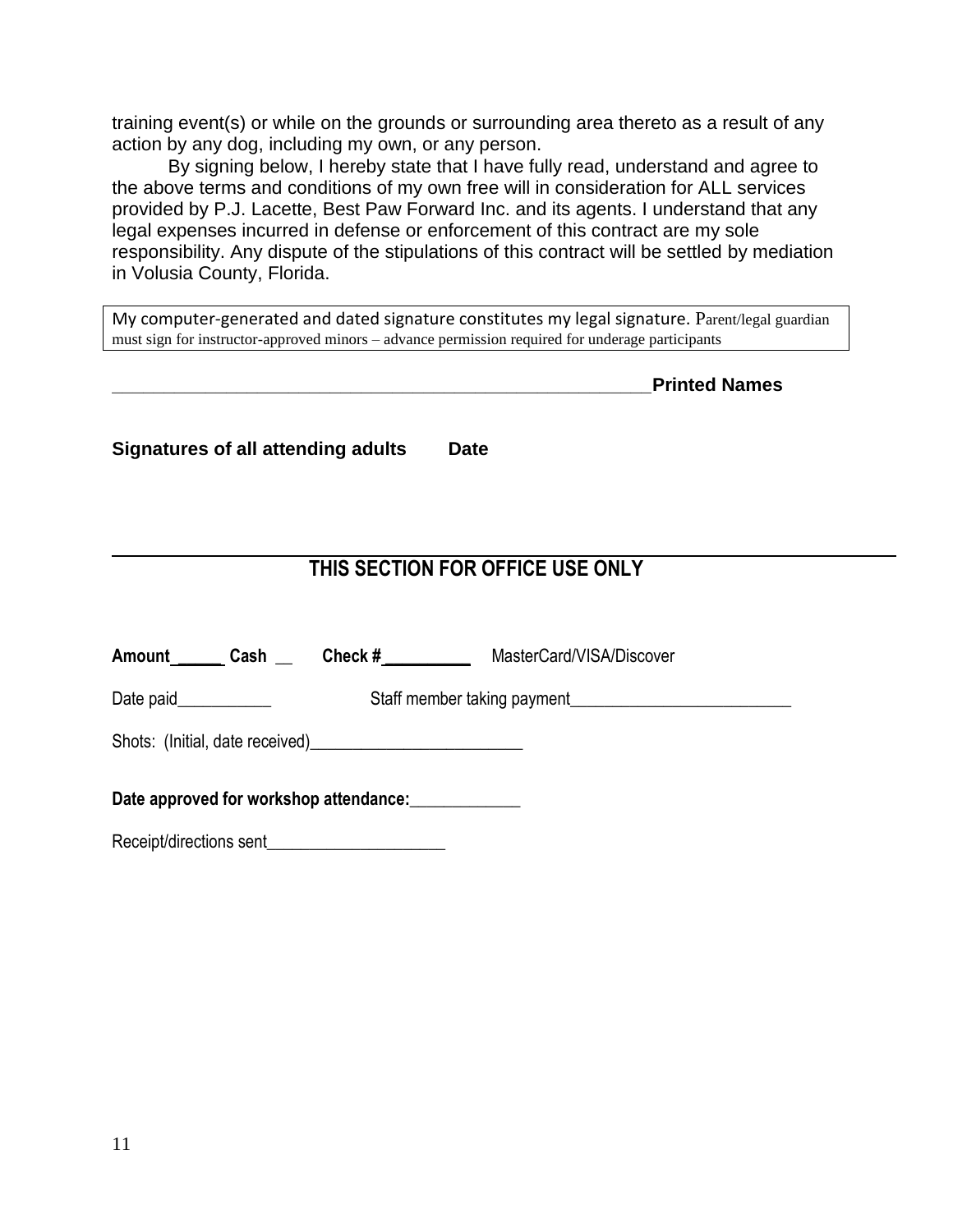training event(s) or while on the grounds or surrounding area thereto as a result of any action by any dog, including my own, or any person.

By signing below, I hereby state that I have fully read, understand and agree to the above terms and conditions of my own free will in consideration for ALL services provided by P.J. Lacette, Best Paw Forward Inc. and its agents. I understand that any legal expenses incurred in defense or enforcement of this contract are my sole responsibility. Any dispute of the stipulations of this contract will be settled by mediation in Volusia County, Florida.

My computer-generated and dated signature constitutes my legal signature. Parent/legal guardian must sign for instructor-approved minors – advance permission required for underage participants

**\_\_\_\_\_\_\_\_\_\_\_\_\_\_\_\_\_\_\_\_\_\_\_\_\_\_\_\_\_\_\_\_\_\_\_\_\_\_\_\_\_\_\_\_\_\_\_\_\_\_\_\_Printed Names**

**Signatures of all attending adults Date**

# **THIS SECTION FOR OFFICE USE ONLY**

| Amount ______ Cash                                   | Check $#$ | MasterCard/VISA/Discover |  |  |  |
|------------------------------------------------------|-----------|--------------------------|--|--|--|
| Date paid___________                                 |           |                          |  |  |  |
|                                                      |           |                          |  |  |  |
| Date approved for workshop attendance: _____________ |           |                          |  |  |  |

Receipt/directions sent